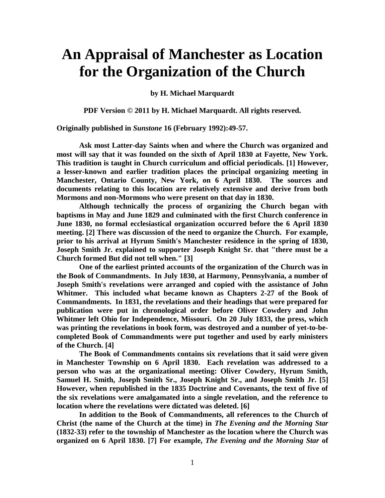## **An Appraisal of Manchester as Location for the Organization of the Church**

**by H. Michael Marquardt**

**PDF Version © 2011 by H. Michael Marquardt. All rights reserved.**

**Originally published in** *Sunstone* **16 (February 1992):49-57.**

**Ask most Latter-day Saints when and where the Church was organized and most will say that it was founded on the sixth of April 1830 at Fayette, New York. This tradition is taught in Church curriculum and official periodicals. [1] However, a lesser-known and earlier tradition places the principal organizing meeting in Manchester, Ontario County, New York, on 6 April 1830. The sources and documents relating to this location are relatively extensive and derive from both Mormons and non-Mormons who were present on that day in 1830.**

**Although technically the process of organizing the Church began with baptisms in May and June 1829 and culminated with the first Church conference in June 1830, no formal ecclesiastical organization occurred before the 6 April 1830 meeting. [2] There was discussion of the need to organize the Church. For example, prior to his arrival at Hyrum Smith's Manchester residence in the spring of 1830, Joseph Smith Jr. explained to supporter Joseph Knight Sr. that "there must be a Church formed But did not tell when." [3]**

**One of the earliest printed accounts of the organization of the Church was in the Book of Commandments. In July 1830, at Harmony, Pennsylvania, a number of Joseph Smith's revelations were arranged and copied with the assistance of John Whitmer. This included what became known as Chapters 2-27 of the Book of Commandments. In 1831, the revelations and their headings that were prepared for publication were put in chronological order before Oliver Cowdery and John Whitmer left Ohio for Independence, Missouri. On 20 July 1833, the press, which was printing the revelations in book form, was destroyed and a number of yet-to-becompleted Book of Commandments were put together and used by early ministers of the Church. [4]**

**The Book of Commandments contains six revelations that it said were given in Manchester Township on 6 April 1830. Each revelation was addressed to a person who was at the organizational meeting: Oliver Cowdery, Hyrum Smith, Samuel H. Smith, Joseph Smith Sr., Joseph Knight Sr., and Joseph Smith Jr. [5] However, when republished in the 1835 Doctrine and Covenants, the text of five of the six revelations were amalgamated into a single revelation, and the reference to location where the revelations were dictated was deleted. [6]**

**In addition to the Book of Commandments, all references to the Church of Christ (the name of the Church at the time) in** *The Evening and the Morning Star* **(1832-33) refer to the township of Manchester as the location where the Church was organized on 6 April 1830. [7] For example,** *The Evening and the Morning Star* **of**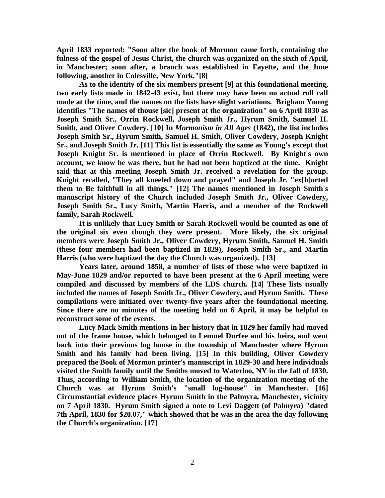**April 1833 reported: "Soon after the book of Mormon came forth, containing the fulness of the gospel of Jesus Christ, the church was organized on the sixth of April, in Manchester; soon after, a branch was established in Fayette, and the June following, another in Colesville, New York."[8]**

**As to the identity of the six members present [9] at this foundational meeting, two early lists made in 1842-43 exist, but there may have been no actual roll call made at the time, and the names on the lists have slight variations. Brigham Young identifies "The names of thouse [sic] present at the organization" on 6 April 1830 as Joseph Smith Sr., Orrin Rockwell, Joseph Smith Jr., Hyrum Smith, Samuel H. Smith, and Oliver Cowdery. [10] In** *Mormonism in All Ages* **(1842), the list includes Joseph Smith Sr., Hyrum Smith, Samuel H. Smith, Oliver Cowdery, Joseph Knight Sr., and Joseph Smith Jr. [11] This list is essentially the same as Young's except that Joseph Knight Sr. is mentioned in place of Orrin Rockwell. By Knight's own account, we know he was there, but he had not been baptized at the time. Knight said that at this meeting Joseph Smith Jr. received a revelation for the group. Knight recalled, "They all kneeled down and prayed" and Joseph Jr. "ex[h]orted them to Be faithfull in all things." [12] The names mentioned in Joseph Smith's manuscript history of the Church included Joseph Smith Jr., Oliver Cowdery, Joseph Smith Sr., Lucy Smith, Martin Harris, and a member of the Rockwell family, Sarah Rockwell.**

**It is unlikely that Lucy Smith or Sarah Rockwell would be counted as one of the original six even though they were present. More likely, the six original members were Joseph Smith Jr., Oliver Cowdery, Hyrum Smith, Samuel H. Smith (these four members had been baptized in 1829), Joseph Smith Sr., and Martin Harris (who were baptized the day the Church was organized). [13]**

**Years later, around 1858, a number of lists of those who were baptized in May-June 1829 and/or reported to have been present at the 6 April meeting were compiled and discussed by members of the LDS church. [14] These lists usually included the names of Joseph Smith Jr., Oliver Cowdery, and Hyrum Smith. These compilations were initiated over twenty-five years after the foundational meeting. Since there are no minutes of the meeting held on 6 April, it may be helpful to reconstruct some of the events.**

**Lucy Mack Smith mentions in her history that in 1829 her family had moved out of the frame house, which belonged to Lemuel Durfee and his heirs, and went back into their previous log house in the township of Manchester where Hyrum Smith and his family had been living. [15] In this building, Oliver Cowdery prepared the Book of Mormon printer's manuscript in 1829-30 and here individuals visited the Smith family until the Smiths moved to Waterloo, NY in the fall of 1830. Thus, according to William Smith, the location of the organization meeting of the Church was at Hyrum Smith's "small log-house" in Manchester. [16] Circumstantial evidence places Hyrum Smith in the Palmyra, Manchester, vicinity on 7 April 1830. Hyrum Smith signed a note to Levi Daggett (of Palmyra) "dated 7th April, 1830 for \$20.07," which showed that he was in the area the day following the Church's organization. [17]**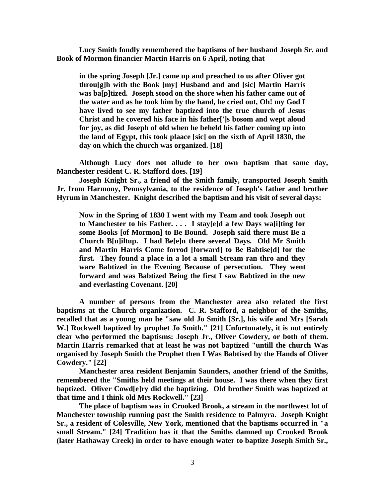**Lucy Smith fondly remembered the baptisms of her husband Joseph Sr. and Book of Mormon financier Martin Harris on 6 April, noting that**

**in the spring Joseph [Jr.] came up and preached to us after Oliver got throu[g]h with the Book [my] Husband and and [sic] Martin Harris was ba[p]tized. Joseph stood on the shore when his father came out of the water and as he took him by the hand, he cried out, Oh! my God I have lived to see my father baptized into the true church of Jesus Christ and he covered his face in his father[']s bosom and wept aloud for joy, as did Joseph of old when he beheld his father coming up into the land of Egypt, this took plaace [sic] on the sixth of April 1830, the day on which the church was organized. [18]**

**Although Lucy does not allude to her own baptism that same day, Manchester resident C. R. Stafford does. [19]**

**Joseph Knight Sr., a friend of the Smith family, transported Joseph Smith Jr. from Harmony, Pennsylvania, to the residence of Joseph's father and brother Hyrum in Manchester. Knight described the baptism and his visit of several days:**

**Now in the Spring of 1830 I went with my Team and took Joseph out to Manchester to his Father. . . . I stay[e]d a few Days wa[i]ting for some Books [of Mormon] to Be Bound. Joseph said there must Be a Church B[u]iltup. I had Be[e]n there several Days. Old Mr Smith and Martin Harris Come forrod [forward] to Be Babtise[d] for the first. They found a place in a lot a small Stream ran thro and they ware Babtized in the Evening Because of persecution. They went forward and was Babtized Being the first I saw Babtized in the new and everlasting Covenant. [20]**

**A number of persons from the Manchester area also related the first baptisms at the Church organization. C. R. Stafford, a neighbor of the Smiths, recalled that as a young man he "saw old Jo Smith [Sr.], his wife and Mrs [Sarah W.] Rockwell baptized by prophet Jo Smith." [21] Unfortunately, it is not entirely clear who performed the baptisms: Joseph Jr., Oliver Cowdery, or both of them. Martin Harris remarked that at least he was not baptized "untill the church Was organised by Joseph Smith the Prophet then I Was Babtised by the Hands of Oliver Cowdery." [22]**

**Manchester area resident Benjamin Saunders, another friend of the Smiths, remembered the "Smiths held meetings at their house. I was there when they first baptized. Oliver Cowd[e]ry did the baptizing. Old brother Smith was baptized at that time and I think old Mrs Rockwell." [23]**

**The place of baptism was in Crooked Brook, a stream in the northwest lot of Manchester township running past the Smith residence to Palmyra. Joseph Knight Sr., a resident of Colesville, New York, mentioned that the baptisms occurred in "a small Stream." [24] Tradition has it that the Smiths damned up Crooked Brook (later Hathaway Creek) in order to have enough water to baptize Joseph Smith Sr.,**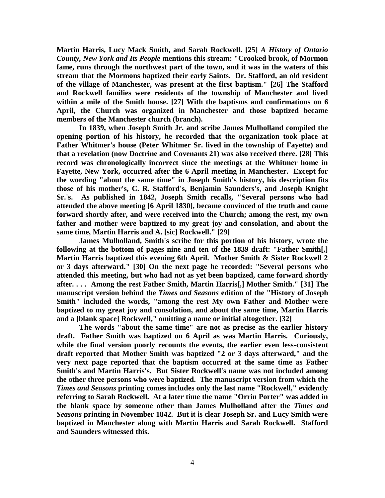**Martin Harris, Lucy Mack Smith, and Sarah Rockwell. [25]** *A History of Ontario County, New York and Its People* **mentions this stream: "Crooked brook, of Mormon fame, runs through the northwest part of the town, and it was in the waters of this stream that the Mormons baptized their early Saints. Dr. Stafford, an old resident of the village of Manchester, was present at the first baptism." [26] The Stafford and Rockwell families were residents of the township of Manchester and lived within a mile of the Smith house. [27] With the baptisms and confirmations on 6 April, the Church was organized in Manchester and those baptized became members of the Manchester church (branch).**

**In 1839, when Joseph Smith Jr. and scribe James Mulholland compiled the opening portion of his history, he recorded that the organization took place at Father Whitmer's house (Peter Whitmer Sr. lived in the township of Fayette) and that a revelation (now Doctrine and Covenants 21) was also received there. [28] This record was chronologically incorrect since the meetings at the Whitmer home in Fayette, New York, occurred after the 6 April meeting in Manchester. Except for the wording "about the same time" in Joseph Smith's history, his description fits those of his mother's, C. R. Stafford's, Benjamin Saunders's, and Joseph Knight Sr.'s. As published in 1842, Joseph Smith recalls, "Several persons who had attended the above meeting [6 April 1830], became convinced of the truth and came forward shortly after, and were received into the Church; among the rest, my own father and mother were baptized to my great joy and consolation, and about the same time, Martin Harris and A. [sic] Rockwell." [29]**

**James Mulholland, Smith's scribe for this portion of his history, wrote the following at the bottom of pages nine and ten of the 1839 draft: "Father Smith[,] Martin Harris baptized this evening 6th April. Mother Smith & Sister Rockwell 2 or 3 days afterward." [30] On the next page he recorded: "Several persons who attended this meeting, but who had not as yet been baptized, came forward shortly after. . . . Among the rest Father Smith, Martin Harris[,] Mother Smith." [31] The manuscript version behind the** *Times and Seasons* **edition of the "History of Joseph Smith" included the words, "among the rest My own Father and Mother were baptized to my great joy and consolation, and about the same time, Martin Harris and a [blank space] Rockwell," omitting a name or initial altogether. [32]**

**The words "about the same time" are not as precise as the earlier history draft. Father Smith was baptized on 6 April as was Martin Harris. Curiously, while the final version poorly recounts the events, the earlier even less-consistent draft reported that Mother Smith was baptized "2 or 3 days afterward," and the very next page reported that the baptism occurred at the same time as Father Smith's and Martin Harris's. But Sister Rockwell's name was not included among the other three persons who were baptized. The manuscript version from which the**  *Times and Seasons* **printing comes includes only the last name "Rockwell," evidently referring to Sarah Rockwell. At a later time the name "Orrin Porter" was added in the blank space by someone other than James Mulholland after the** *Times and Seasons* **printing in November 1842. But it is clear Joseph Sr. and Lucy Smith were baptized in Manchester along with Martin Harris and Sarah Rockwell. Stafford and Saunders witnessed this.**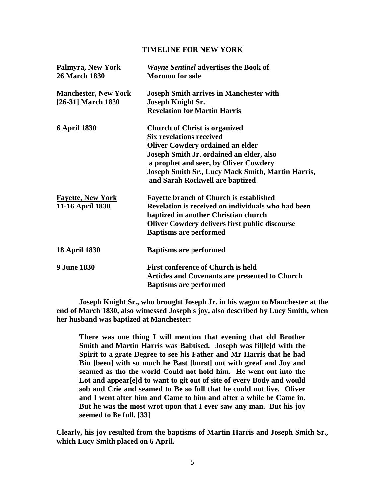## **TIMELINE FOR NEW YORK**

| Palmyra, New York<br><b>26 March 1830</b>         | <b>Wayne Sentinel advertises the Book of</b><br><b>Mormon</b> for sale                                                                                                                                                                                                                          |
|---------------------------------------------------|-------------------------------------------------------------------------------------------------------------------------------------------------------------------------------------------------------------------------------------------------------------------------------------------------|
| <b>Manchester, New York</b><br>[26-31] March 1830 | <b>Joseph Smith arrives in Manchester with</b><br><b>Joseph Knight Sr.</b><br><b>Revelation for Martin Harris</b>                                                                                                                                                                               |
| <b>6 April 1830</b>                               | <b>Church of Christ is organized</b><br><b>Six revelations received</b><br><b>Oliver Cowdery ordained an elder</b><br>Joseph Smith Jr. ordained an elder, also<br>a prophet and seer, by Oliver Cowdery<br>Joseph Smith Sr., Lucy Mack Smith, Martin Harris,<br>and Sarah Rockwell are baptized |
| <b>Fayette, New York</b><br>11-16 April 1830      | <b>Fayette branch of Church is established</b><br>Revelation is received on individuals who had been<br>baptized in another Christian church<br><b>Oliver Cowdery delivers first public discourse</b><br><b>Baptisms are performed</b>                                                          |
| <b>18 April 1830</b>                              | <b>Baptisms are performed</b>                                                                                                                                                                                                                                                                   |
| <b>9 June 1830</b>                                | <b>First conference of Church is held</b><br>Articles and Covenants are presented to Church<br><b>Baptisms are performed</b>                                                                                                                                                                    |

**Joseph Knight Sr., who brought Joseph Jr. in his wagon to Manchester at the end of March 1830, also witnessed Joseph's joy, also described by Lucy Smith, when her husband was baptized at Manchester:**

**There was one thing I will mention that evening that old Brother Smith and Martin Harris was Babtised. Joseph was fil[le]d with the Spirit to a grate Degree to see his Father and Mr Harris that he had Bin [been] with so much he Bast [burst] out with greaf and Joy and seamed as tho the world Could not hold him. He went out into the Lot and appear[e]d to want to git out of site of every Body and would sob and Crie and seamed to Be so full that he could not live. Oliver and I went after him and Came to him and after a while he Came in. But he was the most wrot upon that I ever saw any man. But his joy seemed to Be full. [33]**

**Clearly, his joy resulted from the baptisms of Martin Harris and Joseph Smith Sr., which Lucy Smith placed on 6 April.**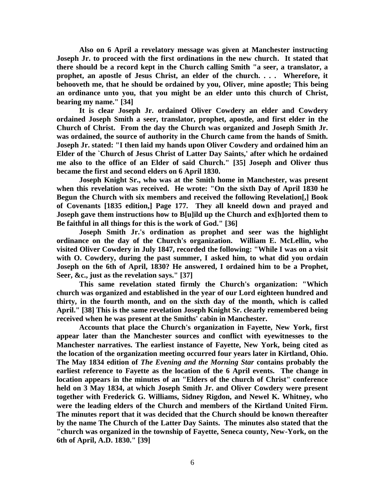**Also on 6 April a revelatory message was given at Manchester instructing Joseph Jr. to proceed with the first ordinations in the new church. It stated that there should be a record kept in the Church calling Smith "a seer, a translator, a prophet, an apostle of Jesus Christ, an elder of the church. . . . Wherefore, it behooveth me, that he should be ordained by you, Oliver, mine apostle; This being an ordinance unto you, that you might be an elder unto this church of Christ, bearing my name." [34]**

**It is clear Joseph Jr. ordained Oliver Cowdery an elder and Cowdery ordained Joseph Smith a seer, translator, prophet, apostle, and first elder in the Church of Christ. From the day the Church was organized and Joseph Smith Jr. was ordained, the source of authority in the Church came from the hands of Smith. Joseph Jr. stated: "I then laid my hands upon Oliver Cowdery and ordained him an Elder of the `Church of Jesus Christ of Latter Day Saints,' after which he ordained me also to the office of an Elder of said Church." [35] Joseph and Oliver thus became the first and second elders on 6 April 1830.**

**Joseph Knight Sr., who was at the Smith home in Manchester, was present when this revelation was received. He wrote: "On the sixth Day of April 1830 he Begun the Church with six members and received the following Revelation[,] Book of Covenants [1835 edition,] Page 177. They all kneeld down and prayed and Joseph gave them instructions how to B[u]ild up the Church and ex[h]orted them to Be faithful in all things for this is the work of God." [36]**

**Joseph Smith Jr.'s ordination as prophet and seer was the highlight ordinance on the day of the Church's organization. William E. McLellin, who visited Oliver Cowdery in July 1847, recorded the following: "While I was on a visit with O. Cowdery, during the past summer, I asked him, to what did you ordain Joseph on the 6th of April, 1830? He answered, I ordained him to be a Prophet, Seer, &c., just as the revelation says." [37]**

**This same revelation stated firmly the Church's organization: "Which church was organized and established in the year of our Lord eighteen hundred and thirty, in the fourth month, and on the sixth day of the month, which is called April." [38] This is the same revelation Joseph Knight Sr. clearly remembered being received when he was present at the Smiths' cabin in Manchester.**

**Accounts that place the Church's organization in Fayette, New York, first appear later than the Manchester sources and conflict with eyewitnesses to the Manchester narratives. The earliest instance of Fayette, New York, being cited as the location of the organization meeting occurred four years later in Kirtland, Ohio. The May 1834 edition of** *The Evening and the Morning Star* **contains probably the earliest reference to Fayette as the location of the 6 April events. The change in location appears in the minutes of an "Elders of the church of Christ" conference held on 3 May 1834, at which Joseph Smith Jr. and Oliver Cowdery were present together with Frederick G. Williams, Sidney Rigdon, and Newel K. Whitney, who were the leading elders of the Church and members of the Kirtland United Firm. The minutes report that it was decided that the Church should be known thereafter by the name The Church of the Latter Day Saints. The minutes also stated that the "church was organized in the township of Fayette, Seneca county, New-York, on the 6th of April, A.D. 1830." [39]**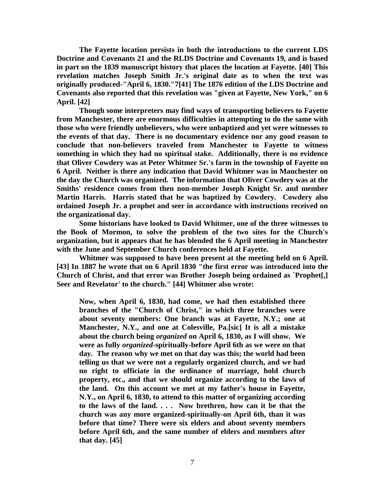**The Fayette location persists in both the introductions to the current LDS Doctrine and Covenants 21 and the RLDS Doctrine and Covenants 19, and is based in part on the 1839 manuscript history that places the location at Fayette. [40] This revelation matches Joseph Smith Jr.'s original date as to when the text was originally produced-"April 6, 1830."7[41] The 1876 edition of the LDS Doctrine and Covenants also reported that this revelation was "given at Fayette, New York," on 6 April. [42]**

**Though some interpreters may find ways of transporting believers to Fayette from Manchester, there are enormous difficulties in attempting to do the same with those who were friendly unbelievers, who were unbaptized and yet were witnesses to the events of that day. There is no documentary evidence nor any good reason to conclude that non-believers traveled from Manchester to Fayette to witness something in which they had no spiritual stake. Additionally, there is no evidence that Oliver Cowdery was at Peter Whitmer Sr.'s farm in the township of Fayette on 6 April. Neither is there any indication that David Whitmer was in Manchester on the day the Church was organized. The information that Oliver Cowdery was at the Smiths' residence comes from then non-member Joseph Knight Sr. and member Martin Harris. Harris stated that he was baptized by Cowdery. Cowdery also ordained Joseph Jr. a prophet and seer in accordance with instructions received on the organizational day.**

**Some historians have looked to David Whitmer, one of the three witnesses to the Book of Mormon, to solve the problem of the two sites for the Church's organization, but it appears that he has blended the 6 April meeting in Manchester with the June and September Church conferences held at Fayette.**

**Whitmer was supposed to have been present at the meeting held on 6 April. [43] In 1887 he wrote that on 6 April 1830 "the first error was introduced into the Church of Christ, and that error was Brother Joseph being ordained as `Prophet[,] Seer and Revelator' to the church." [44] Whitmer also wrote:**

**Now, when April 6, 1830, had come, we had then established three branches of the "Church of Christ," in which three branches were about seventy members: One branch was at Fayette, N.Y.; one at Manchester, N.Y., and one at Colesville, Pa.[sic] It is all a mistake about the church being** *organized* **on April 6, 1830, as I will show. We were as fully** *organized***-spiritually-before April 6th as we were on that day. The reason why we met on that day was this; the world had been telling us that we were not a regularly organized church, and we had no right to officiate in the ordinance of marriage, hold church property, etc., and that we should organize according to the laws of the land. On this account we met at my father's house in Fayette, N.Y., on April 6, 1830, to attend to this matter of organizing according to the laws of the land. . . . Now brethren, how can it be that the church was any more organized-spiritually-on April 6th, than it was before that time? There were six elders and about seventy members before April 6th, and the same number of elders and members after that day. [45]**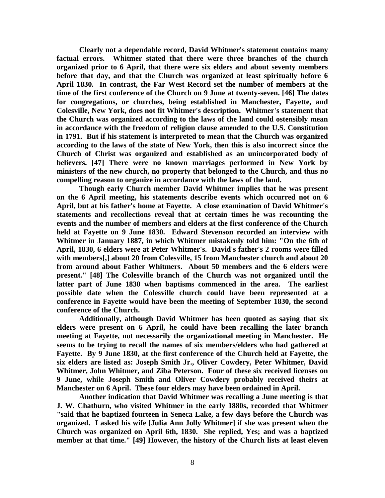**Clearly not a dependable record, David Whitmer's statement contains many factual errors. Whitmer stated that there were three branches of the church organized prior to 6 April, that there were six elders and about seventy members before that day, and that the Church was organized at least spiritually before 6 April 1830. In contrast, the Far West Record set the number of members at the time of the first conference of the Church on 9 June at twenty-seven. [46] The dates for congregations, or churches, being established in Manchester, Fayette, and Colesville, New York, does not fit Whitmer's description. Whitmer's statement that the Church was organized according to the laws of the land could ostensibly mean in accordance with the freedom of religion clause amended to the U.S. Constitution in 1791. But if his statement is interpreted to mean that the Church was organized according to the laws of the state of New York, then this is also incorrect since the Church of Christ was organized and established as an unincorporated body of believers. [47] There were no known marriages performed in New York by ministers of the new church, no property that belonged to the Church, and thus no compelling reason to organize in accordance with the laws of the land.**

**Though early Church member David Whitmer implies that he was present on the 6 April meeting, his statements describe events which occurred not on 6 April, but at his father's home at Fayette. A close examination of David Whitmer's statements and recollections reveal that at certain times he was recounting the events and the number of members and elders at the first conference of the Church held at Fayette on 9 June 1830. Edward Stevenson recorded an interview with Whitmer in January 1887, in which Whitmer mistakenly told him: "On the 6th of April, 1830, 6 elders were at Peter Whitmer's. David's father's 2 rooms were filled with members[,] about 20 from Colesville, 15 from Manchester church and about 20 from around about Father Whitmers. About 50 members and the 6 elders were present." [48] The Colesville branch of the Church was not organized until the latter part of June 1830 when baptisms commenced in the area. The earliest possible date when the Colesville church could have been represented at a conference in Fayette would have been the meeting of September 1830, the second conference of the Church.**

**Additionally, although David Whitmer has been quoted as saying that six elders were present on 6 April, he could have been recalling the later branch meeting at Fayette, not necessarily the organizational meeting in Manchester. He seems to be trying to recall the names of six members/elders who had gathered at Fayette. By 9 June 1830, at the first conference of the Church held at Fayette, the six elders are listed as: Joseph Smith Jr., Oliver Cowdery, Peter Whitmer, David Whitmer, John Whitmer, and Ziba Peterson. Four of these six received licenses on 9 June, while Joseph Smith and Oliver Cowdery probably received theirs at Manchester on 6 April. These four elders may have been ordained in April.**

**Another indication that David Whitmer was recalling a June meeting is that J. W. Chatburn, who visited Whitmer in the early 1880s, recorded that Whitmer "said that he baptized fourteen in Seneca Lake, a few days before the Church was organized. I asked his wife [Julia Ann Jolly Whitmer] if she was present when the Church was organized on April 6th, 1830. She replied, Yes; and was a baptized member at that time." [49] However, the history of the Church lists at least eleven**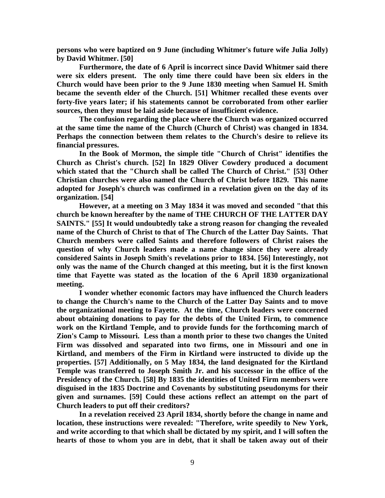**persons who were baptized on 9 June (including Whitmer's future wife Julia Jolly) by David Whitmer. [50]**

**Furthermore, the date of 6 April is incorrect since David Whitmer said there were six elders present. The only time there could have been six elders in the Church would have been prior to the 9 June 1830 meeting when Samuel H. Smith became the seventh elder of the Church. [51] Whitmer recalled these events over forty-five years later; if his statements cannot be corroborated from other earlier sources, then they must be laid aside because of insufficient evidence.**

**The confusion regarding the place where the Church was organized occurred at the same time the name of the Church (Church of Christ) was changed in 1834. Perhaps the connection between them relates to the Church's desire to relieve its financial pressures.**

**In the Book of Mormon, the simple title "Church of Christ" identifies the Church as Christ's church. [52] In 1829 Oliver Cowdery produced a document which stated that the "Church shall be called The Church of Christ." [53] Other Christian churches were also named the Church of Christ before 1829. This name adopted for Joseph's church was confirmed in a revelation given on the day of its organization. [54]**

**However, at a meeting on 3 May 1834 it was moved and seconded "that this church be known hereafter by the name of THE CHURCH OF THE LATTER DAY SAINTS." [55] It would undoubtedly take a strong reason for changing the revealed name of the Church of Christ to that of The Church of the Latter Day Saints. That Church members were called Saints and therefore followers of Christ raises the question of why Church leaders made a name change since they were already considered Saints in Joseph Smith's revelations prior to 1834. [56] Interestingly, not only was the name of the Church changed at this meeting, but it is the first known time that Fayette was stated as the location of the 6 April 1830 organizational meeting.**

**I wonder whether economic factors may have influenced the Church leaders to change the Church's name to the Church of the Latter Day Saints and to move the organizational meeting to Fayette. At the time, Church leaders were concerned about obtaining donations to pay for the debts of the United Firm, to commence work on the Kirtland Temple, and to provide funds for the forthcoming march of Zion's Camp to Missouri. Less than a month prior to these two changes the United Firm was dissolved and separated into two firms, one in Missouri and one in Kirtland, and members of the Firm in Kirtland were instructed to divide up the properties. [57] Additionally, on 5 May 1834, the land designated for the Kirtland Temple was transferred to Joseph Smith Jr. and his successor in the office of the Presidency of the Church. [58] By 1835 the identities of United Firm members were disguised in the 1835 Doctrine and Covenants by substituting pseudonyms for their given and surnames. [59] Could these actions reflect an attempt on the part of Church leaders to put off their creditors?**

**In a revelation received 23 April 1834, shortly before the change in name and location, these instructions were revealed: "Therefore, write speedily to New York, and write according to that which shall be dictated by my spirit, and I will soften the hearts of those to whom you are in debt, that it shall be taken away out of their**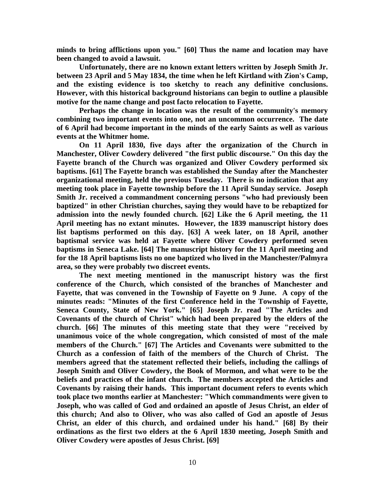**minds to bring afflictions upon you." [60] Thus the name and location may have been changed to avoid a lawsuit.**

**Unfortunately, there are no known extant letters written by Joseph Smith Jr. between 23 April and 5 May 1834, the time when he left Kirtland with Zion's Camp, and the existing evidence is too sketchy to reach any definitive conclusions. However, with this historical background historians can begin to outline a plausible motive for the name change and post facto relocation to Fayette.**

**Perhaps the change in location was the result of the community's memory combining two important events into one, not an uncommon occurrence. The date of 6 April had become important in the minds of the early Saints as well as various events at the Whitmer home.**

**On 11 April 1830, five days after the organization of the Church in Manchester, Oliver Cowdery delivered "the first public discourse." On this day the Fayette branch of the Church was organized and Oliver Cowdery performed six baptisms. [61] The Fayette branch was established the Sunday after the Manchester organizational meeting, held the previous Tuesday. There is no indication that any meeting took place in Fayette township before the 11 April Sunday service. Joseph Smith Jr. received a commandment concerning persons "who had previously been baptized" in other Christian churches, saying they would have to be rebaptized for admission into the newly founded church. [62] Like the 6 April meeting, the 11 April meeting has no extant minutes. However, the 1839 manuscript history does list baptisms performed on this day. [63] A week later, on 18 April, another baptismal service was held at Fayette where Oliver Cowdery performed seven baptisms in Seneca Lake. [64] The manuscript history for the 11 April meeting and for the 18 April baptisms lists no one baptized who lived in the Manchester/Palmyra area, so they were probably two discreet events.**

**The next meeting mentioned in the manuscript history was the first conference of the Church, which consisted of the branches of Manchester and Fayette, that was convened in the Township of Fayette on 9 June. A copy of the minutes reads: "Minutes of the first Conference held in the Township of Fayette, Seneca County, State of New York." [65] Joseph Jr. read "The Articles and Covenants of the church of Christ" which had been prepared by the elders of the church. [66] The minutes of this meeting state that they were "received by unanimous voice of the whole congregation, which consisted of most of the male members of the Church." [67] The Articles and Covenants were submitted to the Church as a confession of faith of the members of the Church of Christ. The members agreed that the statement reflected their beliefs, including the callings of Joseph Smith and Oliver Cowdery, the Book of Mormon, and what were to be the beliefs and practices of the infant church. The members accepted the Articles and Covenants by raising their hands. This important document refers to events which took place two months earlier at Manchester: "Which commandments were given to Joseph, who was called of God and ordained an apostle of Jesus Christ, an elder of this church; And also to Oliver, who was also called of God an apostle of Jesus Christ, an elder of this church, and ordained under his hand." [68] By their ordinations as the first two elders at the 6 April 1830 meeting, Joseph Smith and Oliver Cowdery were apostles of Jesus Christ. [69]**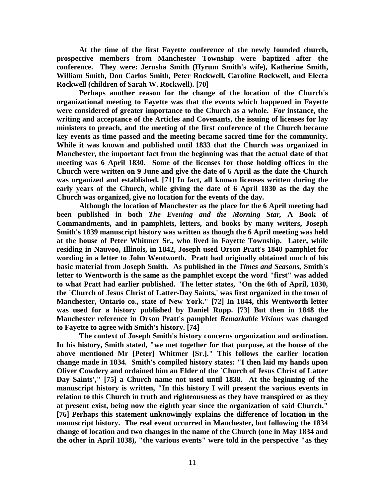**At the time of the first Fayette conference of the newly founded church, prospective members from Manchester Township were baptized after the conference. They were: Jerusha Smith (Hyrum Smith's wife), Katherine Smith, William Smith, Don Carlos Smith, Peter Rockwell, Caroline Rockwell, and Electa Rockwell (children of Sarah W. Rockwell). [70]**

**Perhaps another reason for the change of the location of the Church's organizational meeting to Fayette was that the events which happened in Fayette were considered of greater importance to the Church as a whole. For instance, the writing and acceptance of the Articles and Covenants, the issuing of licenses for lay ministers to preach, and the meeting of the first conference of the Church became key events as time passed and the meeting became sacred time for the community. While it was known and published until 1833 that the Church was organized in Manchester, the important fact from the beginning was that the actual date of that meeting was 6 April 1830. Some of the licenses for those holding offices in the Church were written on 9 June and give the date of 6 April as the date the Church was organized and established. [71] In fact, all known licenses written during the early years of the Church, while giving the date of 6 April 1830 as the day the Church was organized, give no location for the events of the day.**

**Although the location of Manchester as the place for the 6 April meeting had been published in both** *The Evening and the Morning Star,* **A Book of Commandments, and in pamphlets, letters, and books by many writers, Joseph Smith's 1839 manuscript history was written as though the 6 April meeting was held at the house of Peter Whitmer Sr., who lived in Fayette Township. Later, while residing in Nauvoo, Illinois, in 1842, Joseph used Orson Pratt's 1840 pamphlet for wording in a letter to John Wentworth. Pratt had originally obtained much of his basic material from Joseph Smith. As published in the** *Times and Seasons,* **Smith's letter to Wentworth is the same as the pamphlet except the word "first" was added to what Pratt had earlier published. The letter states, "On the 6th of April, 1830, the `Church of Jesus Christ of Latter-Day Saints,' was first organized in the town of Manchester, Ontario co., state of New York." [72] In 1844, this Wentworth letter was used for a history published by Daniel Rupp. [73] But then in 1848 the Manchester reference in Orson Pratt's pamphlet** *Remarkable Visions* **was changed to Fayette to agree with Smith's history. [74]**

**The context of Joseph Smith's history concerns organization and ordination. In his history, Smith stated, "we met together for that purpose, at the house of the above mentioned Mr [Peter] Whitmer [Sr.]." This follows the earlier location change made in 1834. Smith's compiled history states: "I then laid my hands upon Oliver Cowdery and ordained him an Elder of the `Church of Jesus Christ of Latter Day Saints'," [75] a Church name not used until 1838. At the beginning of the manuscript history is written, "In this history I will present the various events in relation to this Church in truth and righteousness as they have transpired or as they at present exist, being now the eighth year since the organization of said Church." [76] Perhaps this statement unknowingly explains the difference of location in the manuscript history. The real event occurred in Manchester, but following the 1834 change of location and two changes in the name of the Church (one in May 1834 and the other in April 1838), "the various events" were told in the perspective "as they**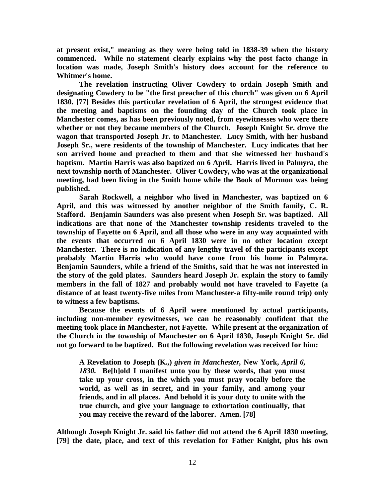**at present exist," meaning as they were being told in 1838-39 when the history commenced. While no statement clearly explains why the post facto change in location was made, Joseph Smith's history does account for the reference to Whitmer's home.**

**The revelation instructing Oliver Cowdery to ordain Joseph Smith and designating Cowdery to be "the first preacher of this church" was given on 6 April 1830. [77] Besides this particular revelation of 6 April, the strongest evidence that the meeting and baptisms on the founding day of the Church took place in Manchester comes, as has been previously noted, from eyewitnesses who were there whether or not they became members of the Church. Joseph Knight Sr. drove the wagon that transported Joseph Jr. to Manchester. Lucy Smith, with her husband Joseph Sr., were residents of the township of Manchester. Lucy indicates that her son arrived home and preached to them and that she witnessed her husband's baptism. Martin Harris was also baptized on 6 April. Harris lived in Palmyra, the next township north of Manchester. Oliver Cowdery, who was at the organizational meeting, had been living in the Smith home while the Book of Mormon was being published.**

**Sarah Rockwell, a neighbor who lived in Manchester, was baptized on 6 April, and this was witnessed by another neighbor of the Smith family, C. R. Stafford. Benjamin Saunders was also present when Joseph Sr. was baptized. All indications are that none of the Manchester township residents traveled to the township of Fayette on 6 April, and all those who were in any way acquainted with the events that occurred on 6 April 1830 were in no other location except Manchester. There is no indication of any lengthy travel of the participants except probably Martin Harris who would have come from his home in Palmyra. Benjamin Saunders, while a friend of the Smiths, said that he was not interested in the story of the gold plates. Saunders heard Joseph Jr. explain the story to family members in the fall of 1827 and probably would not have traveled to Fayette (a distance of at least twenty-five miles from Manchester-a fifty-mile round trip) only to witness a few baptisms.**

**Because the events of 6 April were mentioned by actual participants, including non-member eyewitnesses, we can be reasonably confident that the meeting took place in Manchester, not Fayette. While present at the organization of the Church in the township of Manchester on 6 April 1830, Joseph Knight Sr. did not go forward to be baptized. But the following revelation was received for him:**

**A Revelation to Joseph (K.,)** *given in Manchester,* **New York,** *April 6, 1830.* **Be[h]old I manifest unto you by these words, that you must take up your cross, in the which you must pray vocally before the world, as well as in secret, and in your family, and among your friends, and in all places. And behold it is your duty to unite with the true church, and give your language to exhortation continually, that you may receive the reward of the laborer. Amen. [78]**

**Although Joseph Knight Jr. said his father did not attend the 6 April 1830 meeting, [79] the date, place, and text of this revelation for Father Knight, plus his own**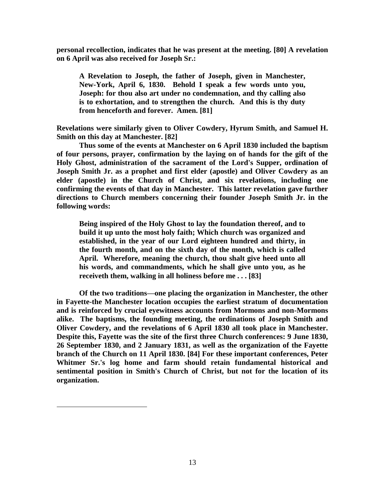**personal recollection, indicates that he was present at the meeting. [80] A revelation on 6 April was also received for Joseph Sr.:**

**A Revelation to Joseph, the father of Joseph, given in Manchester, New-York, April 6, 1830. Behold I speak a few words unto you, Joseph: for thou also art under no condemnation, and thy calling also is to exhortation, and to strengthen the church. And this is thy duty from henceforth and forever. Amen. [81]**

**Revelations were similarly given to Oliver Cowdery, Hyrum Smith, and Samuel H. Smith on this day at Manchester. [82]**

**Thus some of the events at Manchester on 6 April 1830 included the baptism of four persons, prayer, confirmation by the laying on of hands for the gift of the Holy Ghost, administration of the sacrament of the Lord's Supper, ordination of Joseph Smith Jr. as a prophet and first elder (apostle) and Oliver Cowdery as an elder (apostle) in the Church of Christ, and six revelations, including one confirming the events of that day in Manchester. This latter revelation gave further directions to Church members concerning their founder Joseph Smith Jr. in the following words:**

**Being inspired of the Holy Ghost to lay the foundation thereof, and to build it up unto the most holy faith; Which church was organized and established, in the year of our Lord eighteen hundred and thirty, in the fourth month, and on the sixth day of the month, which is called April. Wherefore, meaning the church, thou shalt give heed unto all his words, and commandments, which he shall give unto you, as he receiveth them, walking in all holiness before me . . . [83]**

**Of the two traditions—one placing the organization in Manchester, the other in Fayette-the Manchester location occupies the earliest stratum of documentation and is reinforced by crucial eyewitness accounts from Mormons and non-Mormons alike. The baptisms, the founding meeting, the ordinations of Joseph Smith and Oliver Cowdery, and the revelations of 6 April 1830 all took place in Manchester. Despite this, Fayette was the site of the first three Church conferences: 9 June 1830, 26 September 1830, and 2 January 1831, as well as the organization of the Fayette branch of the Church on 11 April 1830. [84] For these important conferences, Peter Whitmer Sr.'s log home and farm should retain fundamental historical and sentimental position in Smith's Church of Christ, but not for the location of its organization.**

 $\overline{a}$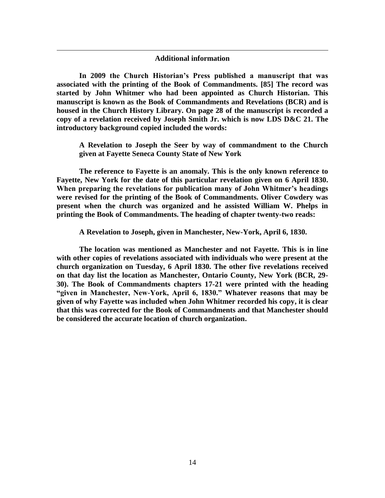## **Additional information**

 $\overline{a}$ 

**In 2009 the Church Historian's Press published a manuscript that was associated with the printing of the Book of Commandments. [85] The record was started by John Whitmer who had been appointed as Church Historian. This manuscript is known as the Book of Commandments and Revelations (BCR) and is housed in the Church History Library. On page 28 of the manuscript is recorded a copy of a revelation received by Joseph Smith Jr. which is now LDS D&C 21. The introductory background copied included the words:**

**A Revelation to Joseph the Seer by way of commandment to the Church given at Fayette Seneca County State of New York**

**The reference to Fayette is an anomaly. This is the only known reference to Fayette, New York for the date of this particular revelation given on 6 April 1830. When preparing the revelations for publication many of John Whitmer's headings were revised for the printing of the Book of Commandments. Oliver Cowdery was present when the church was organized and he assisted William W. Phelps in printing the Book of Commandments. The heading of chapter twenty-two reads:**

**A Revelation to Joseph, given in Manchester, New-York, April 6, 1830.**

**The location was mentioned as Manchester and not Fayette. This is in line with other copies of revelations associated with individuals who were present at the church organization on Tuesday, 6 April 1830. The other five revelations received on that day list the location as Manchester, Ontario County, New York (BCR, 29- 30). The Book of Commandments chapters 17-21 were printed with the heading "given in Manchester, New-York, April 6, 1830." Whatever reasons that may be given of why Fayette was included when John Whitmer recorded his copy, it is clear that this was corrected for the Book of Commandments and that Manchester should be considered the accurate location of church organization.**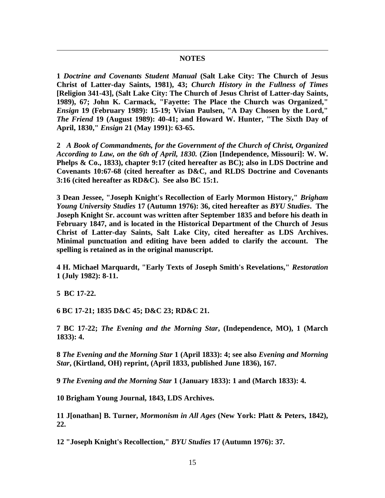## **NOTES**

**1** *Doctrine and Covenants Student Manual* **(Salt Lake City: The Church of Jesus Christ of Latter-day Saints, 1981), 43;** *Church History in the Fullness of Times* **[Religion 341-43], (Salt Lake City: The Church of Jesus Christ of Latter-day Saints, 1989), 67; John K. Carmack, "Fayette: The Place the Church was Organized,"**  *Ensign* **19 (February 1989): 15-19; Vivian Paulsen, "A Day Chosen by the Lord,"**  *The Friend* **19 (August 1989): 40-41; and Howard W. Hunter, "The Sixth Day of April, 1830,"** *Ensign* **21 (May 1991): 63-65.**

**2** *A Book of Commandments, for the Government of the Church of Christ, Organized According to Law, on the 6th of April, 1830.* **(Zion [Independence, Missouri]: W. W. Phelps & Co., 1833), chapter 9:17 (cited hereafter as BC); also in LDS Doctrine and Covenants 10:67-68 (cited hereafter as D&C, and RLDS Doctrine and Covenants 3:16 (cited hereafter as RD&C). See also BC 15:1.**

**3 Dean Jessee, "Joseph Knight's Recollection of Early Mormon History,"** *Brigham Young University Studies* **17 (Autumn 1976): 36, cited hereafter as** *BYU Studies***. The Joseph Knight Sr. account was written after September 1835 and before his death in February 1847, and is located in the Historical Department of the Church of Jesus Christ of Latter-day Saints, Salt Lake City, cited hereafter as LDS Archives. Minimal punctuation and editing have been added to clarify the account. The spelling is retained as in the original manuscript.**

**4 H. Michael Marquardt, "Early Texts of Joseph Smith's Revelations,"** *Restoration* **1 (July 1982): 8-11.**

**5 BC 17-22.**

 $\overline{a}$ 

**6 BC 17-21; 1835 D&C 45; D&C 23; RD&C 21.**

**7 BC 17-22;** *The Evening and the Morning Star***, (Independence, MO), 1 (March 1833): 4.**

**8** *The Evening and the Morning Star* **1 (April 1833): 4; see also** *Evening and Morning Star***, (Kirtland, OH) reprint, (April 1833, published June 1836), 167.**

**9** *The Evening and the Morning Star* **1 (January 1833): 1 and (March 1833): 4.**

**10 Brigham Young Journal, 1843, LDS Archives.**

**11 J[onathan] B. Turner,** *Mormonism in All Ages* **(New York: Platt & Peters, 1842), 22.**

**12 "Joseph Knight's Recollection,"** *BYU Studies* **17 (Autumn 1976): 37.**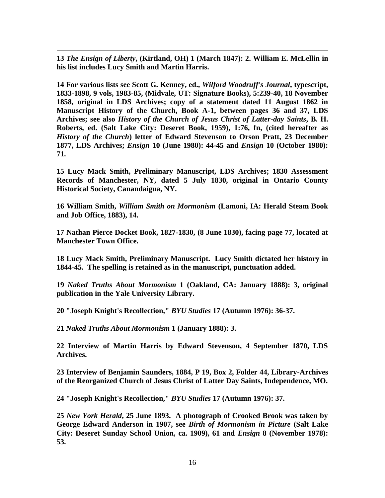**13** *The Ensign of Liberty***, (Kirtland, OH) 1 (March 1847): 2. William E. McLellin in his list includes Lucy Smith and Martin Harris.**

 $\overline{a}$ 

**14 For various lists see Scott G. Kenney, ed.,** *Wilford Woodruff's Journal***, typescript, 1833-1898, 9 vols, 1983-85, (Midvale, UT: Signature Books), 5:239-40, 18 November 1858, original in LDS Archives; copy of a statement dated 11 August 1862 in Manuscript History of the Church, Book A-1, between pages 36 and 37, LDS Archives; see also** *History of the Church of Jesus Christ of Latter-day Saints***, B. H. Roberts, ed. (Salt Lake City: Deseret Book, 1959), 1:76, fn, (cited hereafter as**  *History of the Church***) letter of Edward Stevenson to Orson Pratt, 23 December 1877, LDS Archives;** *Ensign* **10 (June 1980): 44-45 and** *Ensign* **10 (October 1980): 71.**

**15 Lucy Mack Smith, Preliminary Manuscript, LDS Archives; 1830 Assessment Records of Manchester, NY, dated 5 July 1830, original in Ontario County Historical Society, Canandaigua, NY.**

**16 William Smith,** *William Smith on Mormonism* **(Lamoni, IA: Herald Steam Book and Job Office, 1883), 14.**

**17 Nathan Pierce Docket Book, 1827-1830, (8 June 1830), facing page 77, located at Manchester Town Office.**

**18 Lucy Mack Smith, Preliminary Manuscript. Lucy Smith dictated her history in 1844-45. The spelling is retained as in the manuscript, punctuation added.**

**19** *Naked Truths About Mormonism* **1 (Oakland, CA: January 1888): 3, original publication in the Yale University Library.**

**20 "Joseph Knight's Recollection,"** *BYU Studies* **17 (Autumn 1976): 36-37.**

**21** *Naked Truths About Mormonism* **1 (January 1888): 3.**

**22 Interview of Martin Harris by Edward Stevenson, 4 September 1870, LDS Archives.**

**23 Interview of Benjamin Saunders, 1884, P 19, Box 2, Folder 44, Library-Archives of the Reorganized Church of Jesus Christ of Latter Day Saints, Independence, MO.**

**24 "Joseph Knight's Recollection,"** *BYU Studies* **17 (Autumn 1976): 37.**

**25** *New York Herald***, 25 June 1893. A photograph of Crooked Brook was taken by George Edward Anderson in 1907, see** *Birth of Mormonism in Picture* **(Salt Lake City: Deseret Sunday School Union, ca. 1909), 61 and** *Ensign* **8 (November 1978): 53.**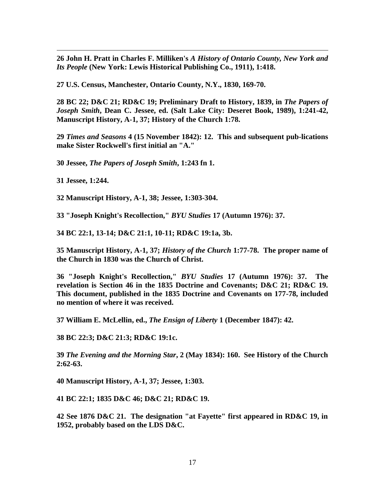**John H. Pratt in Charles F. Milliken's** *A History of Ontario County, New York and Its People* **(New York: Lewis Historical Publishing Co., 1911), 1:418.**

**U.S. Census, Manchester, Ontario County, N.Y., 1830, 169-70.**

 **BC 22; D&C 21; RD&C 19; Preliminary Draft to History, 1839, in** *The Papers of Joseph Smith***, Dean C. Jessee, ed. (Salt Lake City: Deseret Book, 1989), 1:241-42, Manuscript History, A-1, 37; History of the Church 1:78.**

 *Times and Seasons* **4 (15 November 1842): 12. This and subsequent pub-lications make Sister Rockwell's first initial an "A."**

**Jessee,** *The Papers of Joseph Smith***, 1:243 fn 1.**

**Jessee, 1:244.**

 $\overline{a}$ 

**Manuscript History, A-1, 38; Jessee, 1:303-304.**

**"Joseph Knight's Recollection,"** *BYU Studies* **17 (Autumn 1976): 37.**

**BC 22:1, 13-14; D&C 21:1, 10-11; RD&C 19:1a, 3b.**

 **Manuscript History, A-1, 37;** *History of the Church* **1:77-78. The proper name of the Church in 1830 was the Church of Christ.**

 **"Joseph Knight's Recollection,"** *BYU Studies* **17 (Autumn 1976): 37. The revelation is Section 46 in the 1835 Doctrine and Covenants; D&C 21; RD&C 19. This document, published in the 1835 Doctrine and Covenants on 177-78, included no mention of where it was received.**

**William E. McLellin, ed.,** *The Ensign of Liberty* **1 (December 1847): 42.**

**BC 22:3; D&C 21:3; RD&C 19:1c.**

 *The Evening and the Morning Star***, 2 (May 1834): 160. See History of the Church 2:62-63.**

**Manuscript History, A-1, 37; Jessee, 1:303.**

**BC 22:1; 1835 D&C 46; D&C 21; RD&C 19.**

 **See 1876 D&C 21. The designation "at Fayette" first appeared in RD&C 19, in 1952, probably based on the LDS D&C.**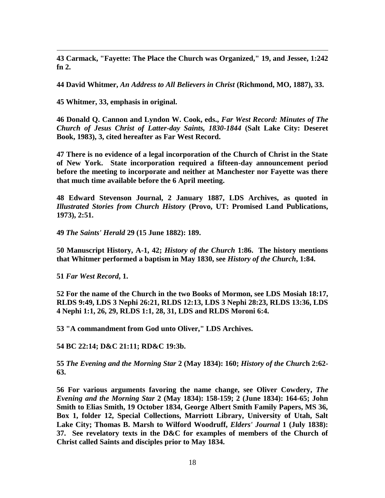**43 Carmack, "Fayette: The Place the Church was Organized," 19, and Jessee, 1:242 fn 2.**

**44 David Whitmer,** *An Address to All Believers in Christ* **(Richmond, MO, 1887), 33.**

**45 Whitmer, 33, emphasis in original.**

 $\overline{a}$ 

**46 Donald Q. Cannon and Lyndon W. Cook, eds.,** *Far West Record: Minutes of The Church of Jesus Christ of Latter-day Saints, 1830-1844* **(Salt Lake City: Deseret Book, 1983), 3, cited hereafter as Far West Record.**

**47 There is no evidence of a legal incorporation of the Church of Christ in the State of New York. State incorporation required a fifteen-day announcement period before the meeting to incorporate and neither at Manchester nor Fayette was there that much time available before the 6 April meeting.**

**48 Edward Stevenson Journal, 2 January 1887, LDS Archives, as quoted in**  *Illustrated Stories from Church History* **(Provo, UT: Promised Land Publications, 1973), 2:51.**

**49** *The Saints' Herald* **29 (15 June 1882): 189.**

**50 Manuscript History, A-1, 42;** *History of the Church* **1:86. The history mentions that Whitmer performed a baptism in May 1830, see** *History of the Church***, 1:84.**

**51** *Far West Record***, 1.**

**52 For the name of the Church in the two Books of Mormon, see LDS Mosiah 18:17, RLDS 9:49, LDS 3 Nephi 26:21, RLDS 12:13, LDS 3 Nephi 28:23, RLDS 13:36, LDS 4 Nephi 1:1, 26, 29, RLDS 1:1, 28, 31, LDS and RLDS Moroni 6:4.**

**53 "A commandment from God unto Oliver," LDS Archives.**

**54 BC 22:14; D&C 21:11; RD&C 19:3b.**

**55** *The Evening and the Morning Star* **2 (May 1834): 160;** *History of the Churc***h 2:62- 63.**

**56 For various arguments favoring the name change, see Oliver Cowdery,** *The Evening and the Morning Star* **2 (May 1834): 158-159; 2 (June 1834): 164-65; John Smith to Elias Smith, 19 October 1834, George Albert Smith Family Papers, MS 36, Box 1, folder 12, Special Collections, Marriott Library, University of Utah, Salt Lake City; Thomas B. Marsh to Wilford Woodruff,** *Elders' Journal* **1 (July 1838): 37. See revelatory texts in the D&C for examples of members of the Church of Christ called Saints and disciples prior to May 1834.**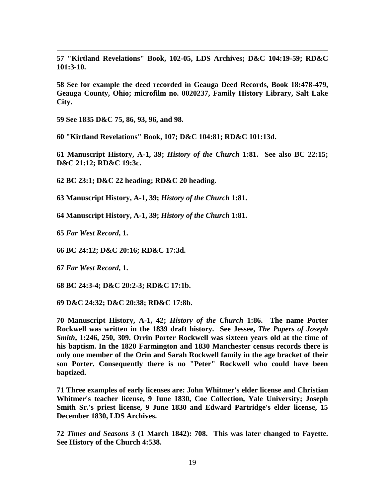**57 "Kirtland Revelations" Book, 102-05, LDS Archives; D&C 104:19-59; RD&C 101:3-10.**

**58 See for example the deed recorded in Geauga Deed Records, Book 18:478-479, Geauga County, Ohio; microfilm no. 0020237, Family History Library, Salt Lake City.**

**59 See 1835 D&C 75, 86, 93, 96, and 98.**

**60 "Kirtland Revelations" Book, 107; D&C 104:81; RD&C 101:13d.**

**61 Manuscript History, A-1, 39;** *History of the Church* **1:81. See also BC 22:15; D&C 21:12; RD&C 19:3c.**

**62 BC 23:1; D&C 22 heading; RD&C 20 heading.**

**63 Manuscript History, A-1, 39;** *History of the Church* **1:81.**

**64 Manuscript History, A-1, 39;** *History of the Church* **1:81.**

**65** *Far West Record***, 1.**

 $\overline{a}$ 

**66 BC 24:12; D&C 20:16; RD&C 17:3d.**

**67** *Far West Record***, 1.**

**68 BC 24:3-4; D&C 20:2-3; RD&C 17:1b.**

**69 D&C 24:32; D&C 20:38; RD&C 17:8b.**

**70 Manuscript History, A-1, 42;** *History of the Church* **1:86. The name Porter Rockwell was written in the 1839 draft history. See Jessee,** *The Papers of Joseph Smith***, 1:246, 250, 309. Orrin Porter Rockwell was sixteen years old at the time of his baptism. In the 1820 Farmington and 1830 Manchester census records there is only one member of the Orin and Sarah Rockwell family in the age bracket of their son Porter. Consequently there is no "Peter" Rockwell who could have been baptized.**

**71 Three examples of early licenses are: John Whitmer's elder license and Christian Whitmer's teacher license, 9 June 1830, Coe Collection, Yale University; Joseph Smith Sr.'s priest license, 9 June 1830 and Edward Partridge's elder license, 15 December 1830, LDS Archives.**

**72** *Times and Seasons* **3 (1 March 1842): 708. This was later changed to Fayette. See History of the Church 4:538.**